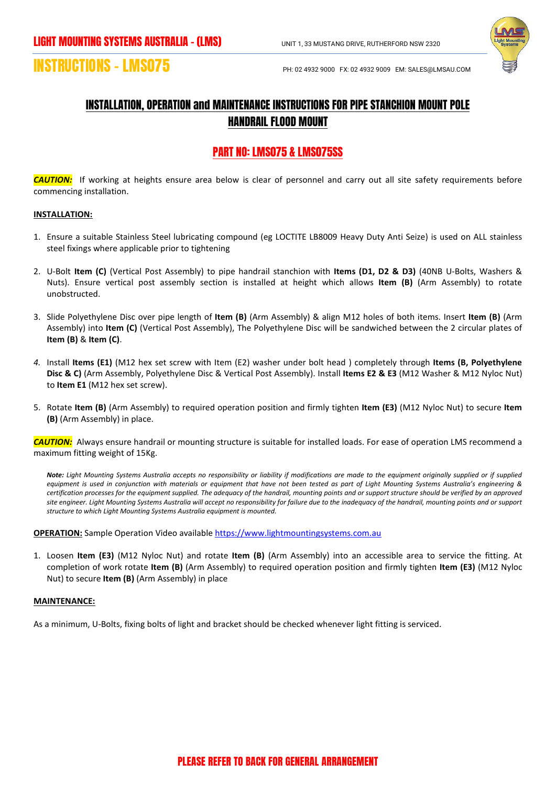

# **INSTRUCTIONS – LMS075**

## INSTALLATION, OPERATION and MAINTENANCE INSTRUCTIONS FOR PIPE STANCHION MOUNT POLE HANDRAIL FLOOD MOUNT

### PART NO: LMS075 & LMS075SS

*CAUTION:*If working at heights ensure area below is clear of personnel and carry out all site safety requirements before commencing installation.

### **INSTALLATION:**

- 1. Ensure a suitable Stainless Steel lubricating compound (eg LOCTITE LB8009 Heavy Duty Anti Seize) is used on ALL stainless steel fixings where applicable prior to tightening
- 2. U-Bolt **Item (C)** (Vertical Post Assembly) to pipe handrail stanchion with **Items (D1, D2 & D3)** (40NB U-Bolts, Washers & Nuts). Ensure vertical post assembly section is installed at height which allows **Item (B)** (Arm Assembly) to rotate unobstructed.
- 3. Slide Polyethylene Disc over pipe length of **Item (B)** (Arm Assembly) & align M12 holes of both items. Insert **Item (B)** (Arm Assembly) into **Item (C)** (Vertical Post Assembly), The Polyethylene Disc will be sandwiched between the 2 circular plates of **Item (B)** & **Item (C)**.
- *4.* Install **Items (E1)** (M12 hex set screw with Item (E2) washer under bolt head ) completely through **Items (B, Polyethylene Disc & C)** (Arm Assembly, Polyethylene Disc & Vertical Post Assembly). Install **Items E2 & E3** (M12 Washer & M12 Nyloc Nut) to **Item E1** (M12 hex set screw).
- 5. Rotate **Item (B)** (Arm Assembly) to required operation position and firmly tighten **Item (E3)** (M12 Nyloc Nut) to secure **Item (B)** (Arm Assembly) in place.

*CAUTION:* Always ensure handrail or mounting structure is suitable for installed loads. For ease of operation LMS recommend a maximum fitting weight of 15Kg.

*Note: Light Mounting Systems Australia accepts no responsibility or liability if modifications are made to the equipment originally supplied or if supplied equipment is used in conjunction with materials or equipment that have not been tested as part of Light Mounting Systems Australia's engineering & certification processes for the equipment supplied. The adequacy of the handrail, mounting points and or support structure should be verified by an approved site engineer. Light Mounting Systems Australia will accept no responsibility for failure due to the inadequacy of the handrail, mounting points and or support structure to which Light Mounting Systems Australia equipment is mounted.*

**OPERATION:** Sample Operation Video availabl[e https://www.lightmountingsystems.com.au](https://www.lightmountingsystems.com.au/)

1. Loosen **Item (E3)** (M12 Nyloc Nut) and rotate **Item (B)** (Arm Assembly) into an accessible area to service the fitting. At completion of work rotate **Item (B)** (Arm Assembly) to required operation position and firmly tighten **Item (E3)** (M12 Nyloc Nut) to secure **Item (B)** (Arm Assembly) in place

### **MAINTENANCE:**

As a minimum, U-Bolts, fixing bolts of light and bracket should be checked whenever light fitting is serviced.